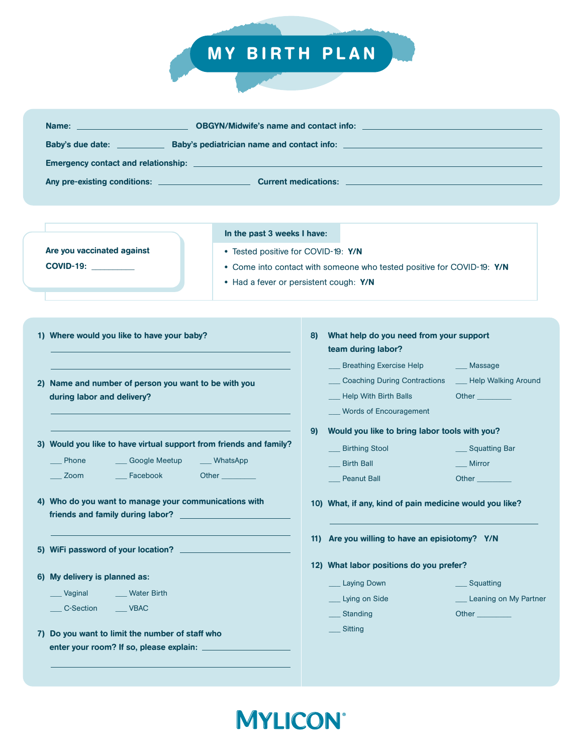## MY BIRTH PLAN

| Name: <u>_______________________</u> |  |  |  |  |  |  |  |
|--------------------------------------|--|--|--|--|--|--|--|
| Baby's due date:                     |  |  |  |  |  |  |  |
|                                      |  |  |  |  |  |  |  |
| Any pre-existing conditions:         |  |  |  |  |  |  |  |

Are you vaccinated against COVID-19: \_\_\_\_\_\_\_\_\_\_

In the past 3 weeks I have:

- Tested positive for COVID-19: Y/N
- Come into contact with someone who tested positive for COVID-19: Y/N
- Had a fever or persistent cough: Y/N

| 1) Where would you like to have your baby? |  |  |  |  |
|--------------------------------------------|--|--|--|--|
|                                            |  |  |  |  |

- 2) Name and number of person you want to be with you during labor and delivery?
- 3) Would you like to have virtual support from friends and family?

\_\_\_ Phone \_\_\_ Zoom Google Meetup Facebook

Other \_\_\_\_\_\_\_\_\_

\_\_\_ WhatsApp

- 4) Who do you want to manage your communications with friends and family during labor?
- 5) WiFi password of your location?
- 6) My delivery is planned as:

**Vaginal** Water Birth

- C-Section \_\_\_ VBAC
- 7) Do you want to limit the number of staff who enter your room? If so, please explain:
- 8) What help do you need from your support team during labor? Breathing Exercise Help \_\_\_ Massage
	- Coaching During Contractions Help With Birth Balls
- 
- Help Walking Around
- Other \_\_\_\_\_\_\_\_\_
- Words of Encouragement
- 9) Would you like to bring labor tools with you?
	- \_\_\_ Birthing Stool Birth Ball \_\_\_ Squatting Bar \_\_\_ Mirror
	- Peanut Ball
- Other \_\_\_\_\_\_\_\_\_
- 10) What, if any, kind of pain medicine would you like?
- 11) Are you willing to have an episiotomy? Y/N
- 12) What labor positions do you prefer?
	- Laying Down
		- Lying on Side **Standing**
- \_\_\_ Squatting
- Leaning on My Partner
- Other \_\_\_\_\_\_\_\_\_

\_\_\_ Sitting

**MYLICON**